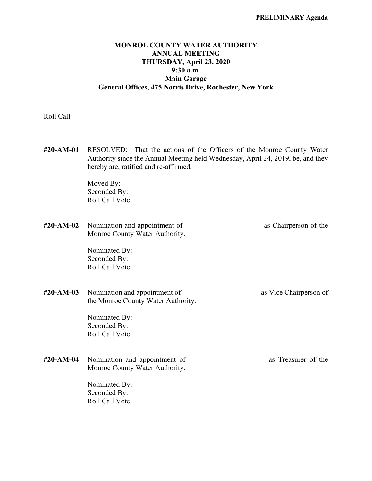# **MONROE COUNTY WATER AUTHORITY ANNUAL MEETING THURSDAY, April 23, 2020 9:30 a.m. Main Garage General Offices, 475 Norris Drive, Rochester, New York**

Roll Call

**#20-AM-01** RESOLVED: That the actions of the Officers of the Monroe County Water Authority since the Annual Meeting held Wednesday, April 24, 2019, be, and they hereby are, ratified and re-affirmed.

> Moved By: Seconded By: Roll Call Vote:

**#20-AM-02** Nomination and appointment of \_\_\_\_\_\_\_\_\_\_\_\_\_\_\_\_\_\_\_\_\_ as Chairperson of the Monroe County Water Authority.

> Nominated By: Seconded By: Roll Call Vote:

**#20-AM-03** Nomination and appointment of \_\_\_\_\_\_\_\_\_\_\_\_\_\_\_\_\_\_\_\_\_ as Vice Chairperson of the Monroe County Water Authority.

> Nominated By: Seconded By: Roll Call Vote:

**#20-AM-04** Nomination and appointment of \_\_\_\_\_\_\_\_\_\_\_\_\_\_\_\_\_\_\_\_\_ as Treasurer of the Monroe County Water Authority.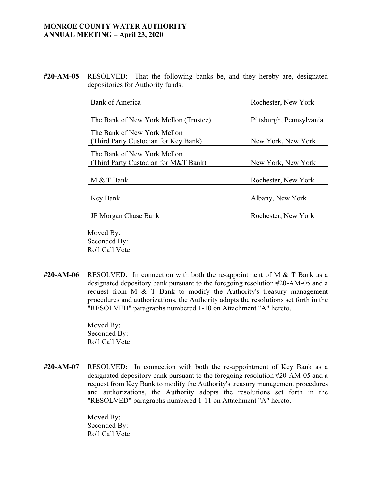**#20-AM-05** RESOLVED: That the following banks be, and they hereby are, designated depositories for Authority funds:

| Bank of America                       | Rochester, New York      |
|---------------------------------------|--------------------------|
|                                       |                          |
| The Bank of New York Mellon (Trustee) | Pittsburgh, Pennsylvania |
| The Bank of New York Mellon           |                          |
| (Third Party Custodian for Key Bank)  | New York, New York       |
| The Bank of New York Mellon           |                          |
| (Third Party Custodian for M&T Bank)  | New York, New York       |
|                                       |                          |
| M & T Bank                            | Rochester, New York      |
|                                       |                          |
| Key Bank                              | Albany, New York         |
|                                       |                          |
| JP Morgan Chase Bank                  | Rochester, New York      |
|                                       |                          |

 Moved By: Seconded By: Roll Call Vote:

**#20-AM-06** RESOLVED: In connection with both the re-appointment of M & T Bank as a designated depository bank pursuant to the foregoing resolution #20-AM-05 and a request from M & T Bank to modify the Authority's treasury management procedures and authorizations, the Authority adopts the resolutions set forth in the "RESOLVED" paragraphs numbered 1-10 on Attachment "A" hereto.

> Moved By: Seconded By: Roll Call Vote:

**#20-AM-07** RESOLVED: In connection with both the re-appointment of Key Bank as a designated depository bank pursuant to the foregoing resolution #20-AM-05 and a request from Key Bank to modify the Authority's treasury management procedures and authorizations, the Authority adopts the resolutions set forth in the "RESOLVED" paragraphs numbered 1-11 on Attachment "A" hereto.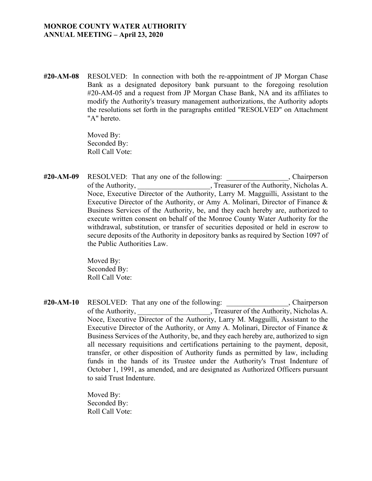**#20-AM-08** RESOLVED: In connection with both the re-appointment of JP Morgan Chase Bank as a designated depository bank pursuant to the foregoing resolution #20-AM-05 and a request from JP Morgan Chase Bank, NA and its affiliates to modify the Authority's treasury management authorizations, the Authority adopts the resolutions set forth in the paragraphs entitled "RESOLVED" on Attachment "A" hereto.

> Moved By: Seconded By: Roll Call Vote:

#20-AM-09 RESOLVED: That any one of the following: Chairperson of the Authority, Treasurer of the Authority, Nicholas A. Noce, Executive Director of the Authority, Larry M. Magguilli, Assistant to the Executive Director of the Authority, or Amy A. Molinari, Director of Finance & Business Services of the Authority, be, and they each hereby are, authorized to execute written consent on behalf of the Monroe County Water Authority for the withdrawal, substitution, or transfer of securities deposited or held in escrow to secure deposits of the Authority in depository banks as required by Section 1097 of the Public Authorities Law.

> Moved By: Seconded By: Roll Call Vote:

#20-AM-10 RESOLVED: That any one of the following: , Chairperson of the Authority, Treasurer of the Authority, Nicholas A. Noce, Executive Director of the Authority, Larry M. Magguilli, Assistant to the Executive Director of the Authority, or Amy A. Molinari, Director of Finance & Business Services of the Authority, be, and they each hereby are, authorized to sign all necessary requisitions and certifications pertaining to the payment, deposit, transfer, or other disposition of Authority funds as permitted by law, including funds in the hands of its Trustee under the Authority's Trust Indenture of October 1, 1991, as amended, and are designated as Authorized Officers pursuant to said Trust Indenture.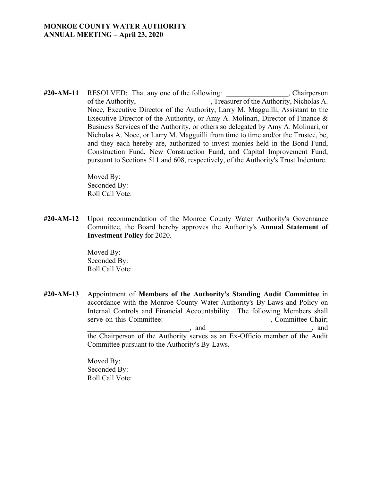#20-AM-11 RESOLVED: That any one of the following: , Chairperson of the Authority,  $\Box$ , Treasurer of the Authority, Nicholas A. Noce, Executive Director of the Authority, Larry M. Magguilli, Assistant to the Executive Director of the Authority, or Amy A. Molinari, Director of Finance & Business Services of the Authority, or others so delegated by Amy A. Molinari, or Nicholas A. Noce, or Larry M. Magguilli from time to time and/or the Trustee, be, and they each hereby are, authorized to invest monies held in the Bond Fund, Construction Fund, New Construction Fund, and Capital Improvement Fund, pursuant to Sections 511 and 608, respectively, of the Authority's Trust Indenture.

> Moved By: Seconded By: Roll Call Vote:

**#20-AM-12** Upon recommendation of the Monroe County Water Authority's Governance Committee, the Board hereby approves the Authority's **Annual Statement of Investment Policy** for 2020.

> Moved By: Seconded By: Roll Call Vote:

**#20-AM-13** Appointment of **Members of the Authority's Standing Audit Committee** in accordance with the Monroe County Water Authority's By-Laws and Policy on Internal Controls and Financial Accountability. The following Members shall serve on this Committee:  $\blacksquare$ , Committee Chair;  $\Box$ , and  $\Box$ , and  $\Box$ 

> the Chairperson of the Authority serves as an Ex-Officio member of the Audit Committee pursuant to the Authority's By-Laws.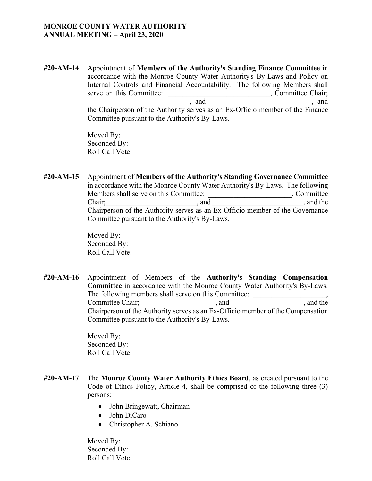**#20-AM-14** Appointment of **Members of the Authority's Standing Finance Committee** in accordance with the Monroe County Water Authority's By-Laws and Policy on Internal Controls and Financial Accountability. The following Members shall serve on this Committee: \_\_\_\_\_\_\_\_\_\_\_\_\_\_\_\_\_\_\_\_\_\_\_\_\_\_\_\_\_\_\_\_, Committee Chair;  $\qquad \qquad$ , and  $\qquad \qquad$ , and  $\qquad \qquad$ , and the Chairperson of the Authority serves as an Ex-Officio member of the Finance Committee pursuant to the Authority's By-Laws.

> Moved By: Seconded By: Roll Call Vote:

**#20-AM-15** Appointment of **Members of the Authority's Standing Governance Committee** in accordance with the Monroe County Water Authority's By-Laws. The following Members shall serve on this Committee: \_\_\_\_\_\_\_\_\_\_\_\_\_\_\_\_\_\_\_\_\_\_\_\_\_\_, Committee Chair; etc. and and all the same chairs and  $\Box$  and  $\Box$  and  $\Box$  and the same chains are  $\Box$ Chairperson of the Authority serves as an Ex-Officio member of the Governance Committee pursuant to the Authority's By-Laws.

> Moved By: Seconded By: Roll Call Vote:

**#20-AM-16** Appointment of Members of the **Authority's Standing Compensation Committee** in accordance with the Monroe County Water Authority's By-Laws. The following members shall serve on this Committee: Committee Chair; example, and the committee Chair;  $\blacksquare$ , and the set of  $\blacksquare$ Chairperson of the Authority serves as an Ex-Officio member of the Compensation Committee pursuant to the Authority's By-Laws.

> Moved By: Seconded By: Roll Call Vote:

- **#20-AM-17** The **Monroe County Water Authority Ethics Board**, as created pursuant to the Code of Ethics Policy, Article 4, shall be comprised of the following three (3) persons:
	- John Bringewatt, Chairman
	- John DiCaro
	- Christopher A. Schiano